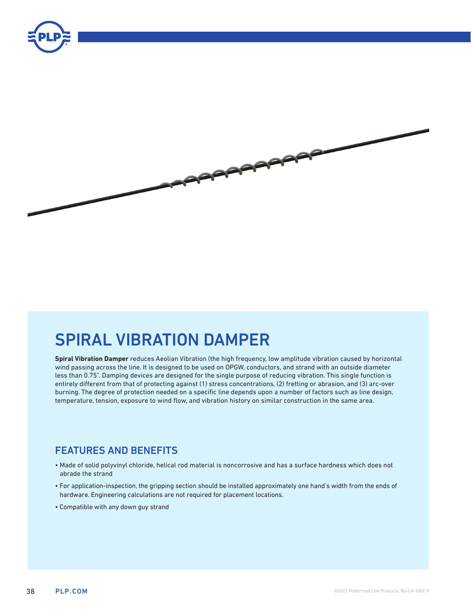



# SPIRAL VIBRATION DAMPER

**Spiral Vibration Damper** reduces Aeolian Vibration (the high frequency, low amplitude vibration caused by horizontal wind passing across the line. It is designed to be used on OPGW, conductors, and strand with an outside diameter less than 0.75". Damping devices are designed for the single purpose of reducing vibration. This single function is entirely different from that of protecting against (1) stress concentrations, (2) fretting or abrasion, and (3) arc-over burning. The degree of protection needed on a specific line depends upon a number of factors such as line design, temperature, tension, exposure to wind flow, and vibration history on similar construction in the same area.

### FEATURES AND BENEFITS

- Made of solid polyvinyl chloride, helical rod material is noncorrosive and has a surface hardness which does not abrade the strand
- For application-inspection, the gripping section should be installed approximately one hand's width from the ends of hardware. Engineering calculations are not required for placement locations.
- Compatible with any down guy strand